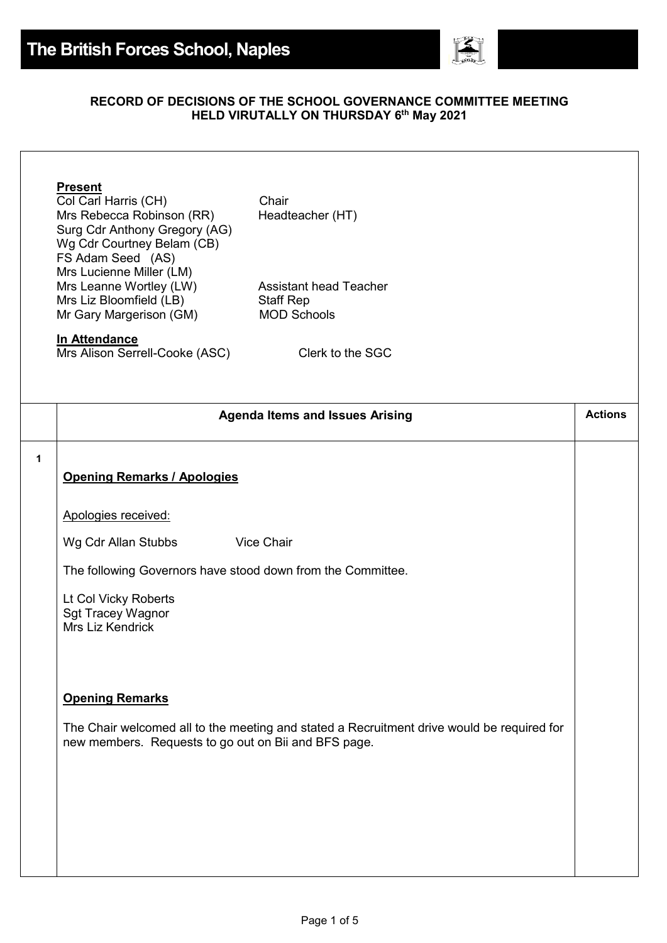

## **RECORD OF DECISIONS OF THE SCHOOL GOVERNANCE COMMITTEE MEETING HELD VIRUTALLY ON THURSDAY 6 th May 2021**

Col Carl Harris (CH) Chair Mrs Rebecca Robinson (RR) Headteacher (HT) Surg Cdr Anthony Gregory (AG) Wg Cdr Courtney Belam (CB) FS Adam Seed (AS) Mrs Lucienne Miller (LM) Mrs Leanne Wortley (LW) Assistant head Teacher Mrs Liz Bloomfield (LB) Staff Rep Mr Gary Margerison (GM) MOD Schools

## **In Attendance**

Mrs Alison Serrell-Cooke (ASC) Clerk to the SGC

|   | <b>Agenda Items and Issues Arising</b>                                                                                                             | <b>Actions</b> |
|---|----------------------------------------------------------------------------------------------------------------------------------------------------|----------------|
| 1 | <b>Opening Remarks / Apologies</b>                                                                                                                 |                |
|   | Apologies received:                                                                                                                                |                |
|   | <b>Vice Chair</b><br>Wg Cdr Allan Stubbs                                                                                                           |                |
|   | The following Governors have stood down from the Committee.                                                                                        |                |
|   | Lt Col Vicky Roberts<br><b>Sgt Tracey Wagnor</b><br>Mrs Liz Kendrick                                                                               |                |
|   | <b>Opening Remarks</b>                                                                                                                             |                |
|   | The Chair welcomed all to the meeting and stated a Recruitment drive would be required for<br>new members. Requests to go out on Bii and BFS page. |                |
|   |                                                                                                                                                    |                |
|   |                                                                                                                                                    |                |
|   |                                                                                                                                                    |                |
|   |                                                                                                                                                    |                |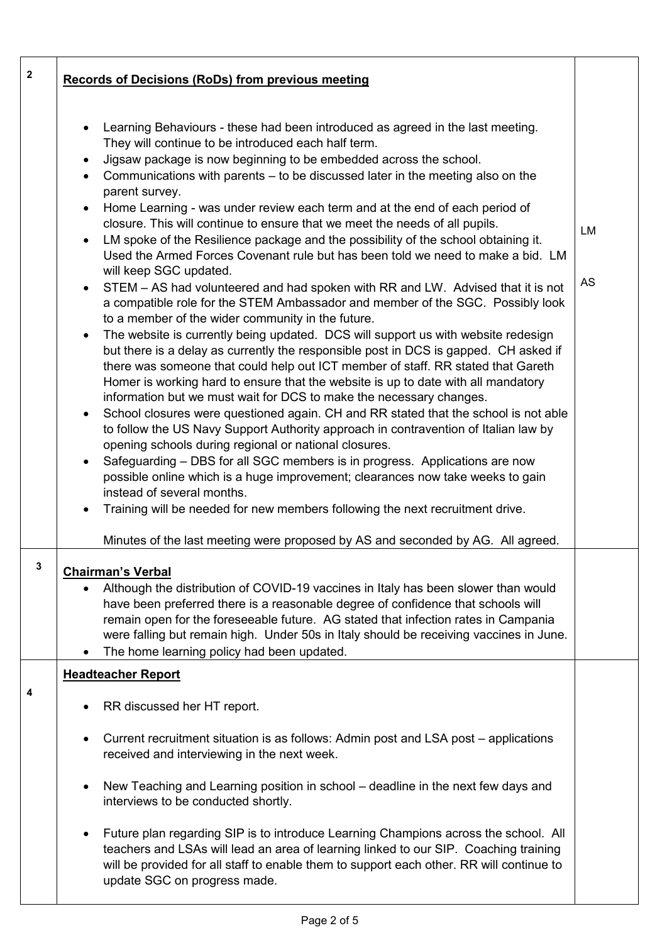| $\mathbf 2$ | <b>Records of Decisions (RoDs) from previous meeting</b>                                                                                                                                                                                                                                                                                                                                                                                                                                                                                                                                                                                                                                                                                                                                                                                                                                                                                                                                                                                                                                                                                                                                                                                                                                                                                                                                                                                                                                                                                                                                                                                                                                                                                                                                                                                                                                                                                                                                                     |                        |
|-------------|--------------------------------------------------------------------------------------------------------------------------------------------------------------------------------------------------------------------------------------------------------------------------------------------------------------------------------------------------------------------------------------------------------------------------------------------------------------------------------------------------------------------------------------------------------------------------------------------------------------------------------------------------------------------------------------------------------------------------------------------------------------------------------------------------------------------------------------------------------------------------------------------------------------------------------------------------------------------------------------------------------------------------------------------------------------------------------------------------------------------------------------------------------------------------------------------------------------------------------------------------------------------------------------------------------------------------------------------------------------------------------------------------------------------------------------------------------------------------------------------------------------------------------------------------------------------------------------------------------------------------------------------------------------------------------------------------------------------------------------------------------------------------------------------------------------------------------------------------------------------------------------------------------------------------------------------------------------------------------------------------------------|------------------------|
|             | Learning Behaviours - these had been introduced as agreed in the last meeting.<br>$\bullet$<br>They will continue to be introduced each half term.<br>Jigsaw package is now beginning to be embedded across the school.<br>$\bullet$<br>• Communications with parents – to be discussed later in the meeting also on the<br>parent survey.<br>• Home Learning - was under review each term and at the end of each period of<br>closure. This will continue to ensure that we meet the needs of all pupils.<br>LM spoke of the Resilience package and the possibility of the school obtaining it.<br>$\bullet$<br>Used the Armed Forces Covenant rule but has been told we need to make a bid. LM<br>will keep SGC updated.<br>• STEM – AS had volunteered and had spoken with RR and LW. Advised that it is not<br>a compatible role for the STEM Ambassador and member of the SGC. Possibly look<br>to a member of the wider community in the future.<br>The website is currently being updated. DCS will support us with website redesign<br>$\bullet$<br>but there is a delay as currently the responsible post in DCS is gapped. CH asked if<br>there was someone that could help out ICT member of staff. RR stated that Gareth<br>Homer is working hard to ensure that the website is up to date with all mandatory<br>information but we must wait for DCS to make the necessary changes.<br>• School closures were questioned again. CH and RR stated that the school is not able<br>to follow the US Navy Support Authority approach in contravention of Italian law by<br>opening schools during regional or national closures.<br>Safeguarding - DBS for all SGC members is in progress. Applications are now<br>possible online which is a huge improvement; clearances now take weeks to gain<br>instead of several months.<br>Training will be needed for new members following the next recruitment drive.<br>Minutes of the last meeting were proposed by AS and seconded by AG. All agreed. | <b>LM</b><br><b>AS</b> |
| 3           | <b>Chairman's Verbal</b><br>Although the distribution of COVID-19 vaccines in Italy has been slower than would<br>have been preferred there is a reasonable degree of confidence that schools will<br>remain open for the foreseeable future. AG stated that infection rates in Campania<br>were falling but remain high. Under 50s in Italy should be receiving vaccines in June.<br>The home learning policy had been updated.                                                                                                                                                                                                                                                                                                                                                                                                                                                                                                                                                                                                                                                                                                                                                                                                                                                                                                                                                                                                                                                                                                                                                                                                                                                                                                                                                                                                                                                                                                                                                                             |                        |
|             | <b>Headteacher Report</b>                                                                                                                                                                                                                                                                                                                                                                                                                                                                                                                                                                                                                                                                                                                                                                                                                                                                                                                                                                                                                                                                                                                                                                                                                                                                                                                                                                                                                                                                                                                                                                                                                                                                                                                                                                                                                                                                                                                                                                                    |                        |
| 4           | RR discussed her HT report.<br>٠                                                                                                                                                                                                                                                                                                                                                                                                                                                                                                                                                                                                                                                                                                                                                                                                                                                                                                                                                                                                                                                                                                                                                                                                                                                                                                                                                                                                                                                                                                                                                                                                                                                                                                                                                                                                                                                                                                                                                                             |                        |
|             | Current recruitment situation is as follows: Admin post and LSA post – applications<br>$\bullet$<br>received and interviewing in the next week.                                                                                                                                                                                                                                                                                                                                                                                                                                                                                                                                                                                                                                                                                                                                                                                                                                                                                                                                                                                                                                                                                                                                                                                                                                                                                                                                                                                                                                                                                                                                                                                                                                                                                                                                                                                                                                                              |                        |
|             | New Teaching and Learning position in school – deadline in the next few days and<br>$\bullet$<br>interviews to be conducted shortly.                                                                                                                                                                                                                                                                                                                                                                                                                                                                                                                                                                                                                                                                                                                                                                                                                                                                                                                                                                                                                                                                                                                                                                                                                                                                                                                                                                                                                                                                                                                                                                                                                                                                                                                                                                                                                                                                         |                        |
|             | Future plan regarding SIP is to introduce Learning Champions across the school. All<br>$\bullet$<br>teachers and LSAs will lead an area of learning linked to our SIP. Coaching training<br>will be provided for all staff to enable them to support each other. RR will continue to<br>update SGC on progress made.                                                                                                                                                                                                                                                                                                                                                                                                                                                                                                                                                                                                                                                                                                                                                                                                                                                                                                                                                                                                                                                                                                                                                                                                                                                                                                                                                                                                                                                                                                                                                                                                                                                                                         |                        |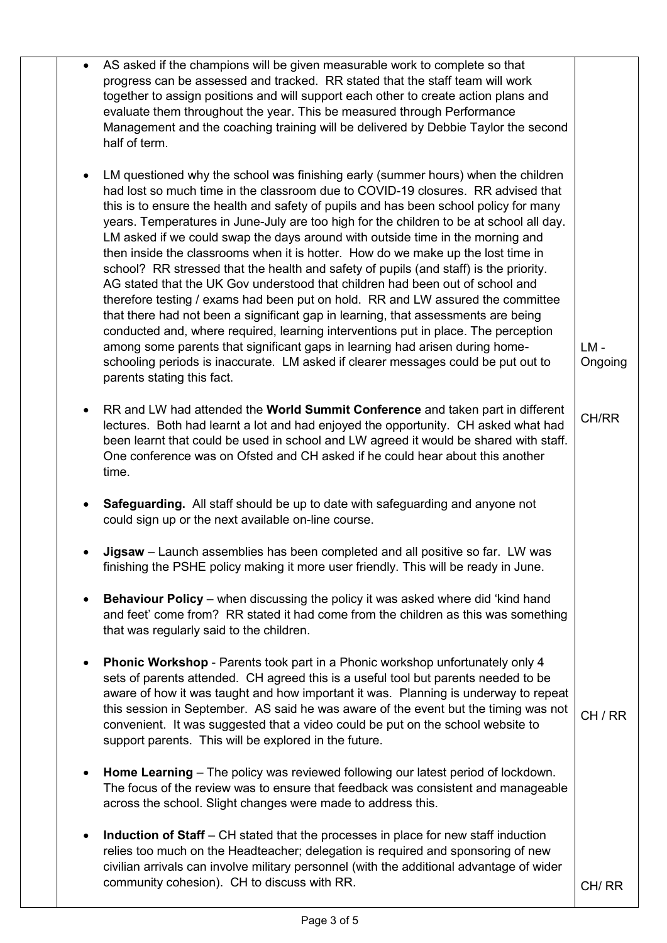| $\bullet$ | AS asked if the champions will be given measurable work to complete so that<br>progress can be assessed and tracked. RR stated that the staff team will work<br>together to assign positions and will support each other to create action plans and<br>evaluate them throughout the year. This be measured through Performance<br>Management and the coaching training will be delivered by Debbie Taylor the second<br>half of term.                                                                                                                                                                                                                                                                                                                                                                                                                                                                                                                                                                                                                                                                                                                                      |                   |
|-----------|----------------------------------------------------------------------------------------------------------------------------------------------------------------------------------------------------------------------------------------------------------------------------------------------------------------------------------------------------------------------------------------------------------------------------------------------------------------------------------------------------------------------------------------------------------------------------------------------------------------------------------------------------------------------------------------------------------------------------------------------------------------------------------------------------------------------------------------------------------------------------------------------------------------------------------------------------------------------------------------------------------------------------------------------------------------------------------------------------------------------------------------------------------------------------|-------------------|
| $\bullet$ | LM questioned why the school was finishing early (summer hours) when the children<br>had lost so much time in the classroom due to COVID-19 closures. RR advised that<br>this is to ensure the health and safety of pupils and has been school policy for many<br>years. Temperatures in June-July are too high for the children to be at school all day.<br>LM asked if we could swap the days around with outside time in the morning and<br>then inside the classrooms when it is hotter. How do we make up the lost time in<br>school? RR stressed that the health and safety of pupils (and staff) is the priority.<br>AG stated that the UK Gov understood that children had been out of school and<br>therefore testing / exams had been put on hold. RR and LW assured the committee<br>that there had not been a significant gap in learning, that assessments are being<br>conducted and, where required, learning interventions put in place. The perception<br>among some parents that significant gaps in learning had arisen during home-<br>schooling periods is inaccurate. LM asked if clearer messages could be put out to<br>parents stating this fact. | $LM -$<br>Ongoing |
| $\bullet$ | RR and LW had attended the World Summit Conference and taken part in different<br>lectures. Both had learnt a lot and had enjoyed the opportunity. CH asked what had<br>been learnt that could be used in school and LW agreed it would be shared with staff.<br>One conference was on Ofsted and CH asked if he could hear about this another<br>time.                                                                                                                                                                                                                                                                                                                                                                                                                                                                                                                                                                                                                                                                                                                                                                                                                    | CH/RR             |
| $\bullet$ | <b>Safeguarding.</b> All staff should be up to date with safeguarding and anyone not<br>could sign up or the next available on-line course.                                                                                                                                                                                                                                                                                                                                                                                                                                                                                                                                                                                                                                                                                                                                                                                                                                                                                                                                                                                                                                |                   |
|           | Jigsaw - Launch assemblies has been completed and all positive so far. LW was<br>finishing the PSHE policy making it more user friendly. This will be ready in June.                                                                                                                                                                                                                                                                                                                                                                                                                                                                                                                                                                                                                                                                                                                                                                                                                                                                                                                                                                                                       |                   |
| $\bullet$ | Behaviour Policy - when discussing the policy it was asked where did 'kind hand<br>and feet' come from? RR stated it had come from the children as this was something<br>that was regularly said to the children.                                                                                                                                                                                                                                                                                                                                                                                                                                                                                                                                                                                                                                                                                                                                                                                                                                                                                                                                                          |                   |
| $\bullet$ | Phonic Workshop - Parents took part in a Phonic workshop unfortunately only 4<br>sets of parents attended. CH agreed this is a useful tool but parents needed to be<br>aware of how it was taught and how important it was. Planning is underway to repeat<br>this session in September. AS said he was aware of the event but the timing was not<br>convenient. It was suggested that a video could be put on the school website to<br>support parents. This will be explored in the future.                                                                                                                                                                                                                                                                                                                                                                                                                                                                                                                                                                                                                                                                              | CH/RR             |
| $\bullet$ | Home Learning – The policy was reviewed following our latest period of lockdown.<br>The focus of the review was to ensure that feedback was consistent and manageable<br>across the school. Slight changes were made to address this.                                                                                                                                                                                                                                                                                                                                                                                                                                                                                                                                                                                                                                                                                                                                                                                                                                                                                                                                      |                   |
| $\bullet$ | <b>Induction of Staff</b> – CH stated that the processes in place for new staff induction<br>relies too much on the Headteacher; delegation is required and sponsoring of new<br>civilian arrivals can involve military personnel (with the additional advantage of wider<br>community cohesion). CH to discuss with RR.                                                                                                                                                                                                                                                                                                                                                                                                                                                                                                                                                                                                                                                                                                                                                                                                                                                   | CH/RR             |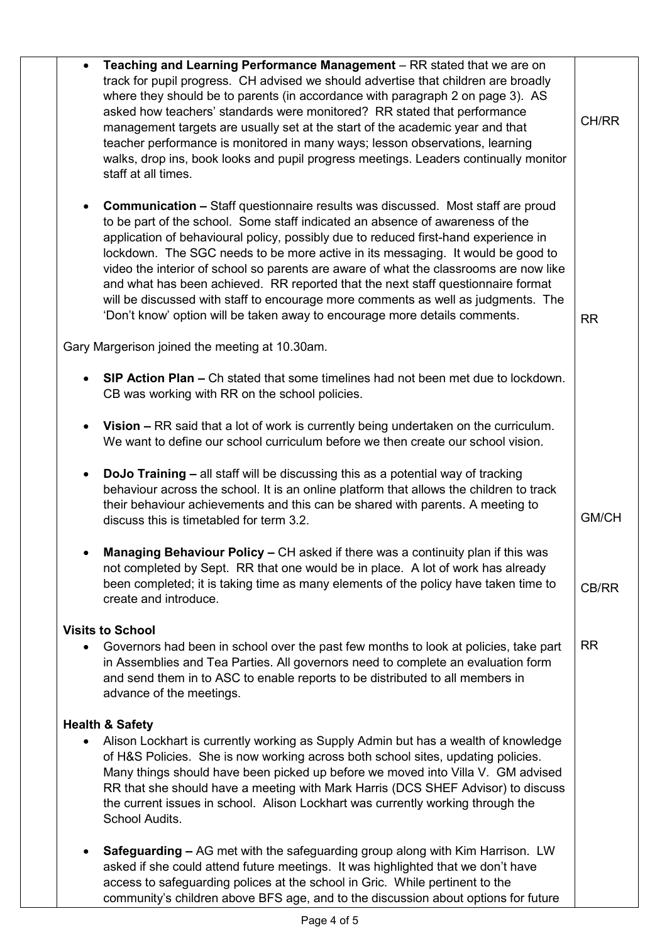|           | Teaching and Learning Performance Management - RR stated that we are on<br>track for pupil progress. CH advised we should advertise that children are broadly<br>where they should be to parents (in accordance with paragraph 2 on page 3). AS<br>asked how teachers' standards were monitored? RR stated that performance<br>management targets are usually set at the start of the academic year and that<br>teacher performance is monitored in many ways; lesson observations, learning<br>walks, drop ins, book looks and pupil progress meetings. Leaders continually monitor<br>staff at all times.                                                                                       | CH/RR     |
|-----------|---------------------------------------------------------------------------------------------------------------------------------------------------------------------------------------------------------------------------------------------------------------------------------------------------------------------------------------------------------------------------------------------------------------------------------------------------------------------------------------------------------------------------------------------------------------------------------------------------------------------------------------------------------------------------------------------------|-----------|
|           | <b>Communication –</b> Staff questionnaire results was discussed. Most staff are proud<br>to be part of the school. Some staff indicated an absence of awareness of the<br>application of behavioural policy, possibly due to reduced first-hand experience in<br>lockdown. The SGC needs to be more active in its messaging. It would be good to<br>video the interior of school so parents are aware of what the classrooms are now like<br>and what has been achieved. RR reported that the next staff questionnaire format<br>will be discussed with staff to encourage more comments as well as judgments. The<br>'Don't know' option will be taken away to encourage more details comments. | <b>RR</b> |
|           | Gary Margerison joined the meeting at 10.30am.                                                                                                                                                                                                                                                                                                                                                                                                                                                                                                                                                                                                                                                    |           |
|           | SIP Action Plan - Ch stated that some timelines had not been met due to lockdown.<br>CB was working with RR on the school policies.                                                                                                                                                                                                                                                                                                                                                                                                                                                                                                                                                               |           |
|           | Vision - RR said that a lot of work is currently being undertaken on the curriculum.<br>We want to define our school curriculum before we then create our school vision.                                                                                                                                                                                                                                                                                                                                                                                                                                                                                                                          |           |
| $\bullet$ | <b>DoJo Training - all staff will be discussing this as a potential way of tracking</b><br>behaviour across the school. It is an online platform that allows the children to track<br>their behaviour achievements and this can be shared with parents. A meeting to<br>discuss this is timetabled for term 3.2.                                                                                                                                                                                                                                                                                                                                                                                  | GM/CH     |
|           | <b>Managing Behaviour Policy – CH asked if there was a continuity plan if this was</b><br>not completed by Sept. RR that one would be in place. A lot of work has already<br>been completed; it is taking time as many elements of the policy have taken time to<br>create and introduce.                                                                                                                                                                                                                                                                                                                                                                                                         | CB/RR     |
| $\bullet$ | <b>Visits to School</b><br>Governors had been in school over the past few months to look at policies, take part<br>in Assemblies and Tea Parties. All governors need to complete an evaluation form<br>and send them in to ASC to enable reports to be distributed to all members in<br>advance of the meetings.                                                                                                                                                                                                                                                                                                                                                                                  | <b>RR</b> |
| $\bullet$ | <b>Health &amp; Safety</b><br>Alison Lockhart is currently working as Supply Admin but has a wealth of knowledge<br>of H&S Policies. She is now working across both school sites, updating policies.<br>Many things should have been picked up before we moved into Villa V. GM advised<br>RR that she should have a meeting with Mark Harris (DCS SHEF Advisor) to discuss<br>the current issues in school. Alison Lockhart was currently working through the<br>School Audits.                                                                                                                                                                                                                  |           |
|           | Safeguarding - AG met with the safeguarding group along with Kim Harrison. LW<br>asked if she could attend future meetings. It was highlighted that we don't have<br>access to safeguarding polices at the school in Gric. While pertinent to the<br>community's children above BFS age, and to the discussion about options for future                                                                                                                                                                                                                                                                                                                                                           |           |